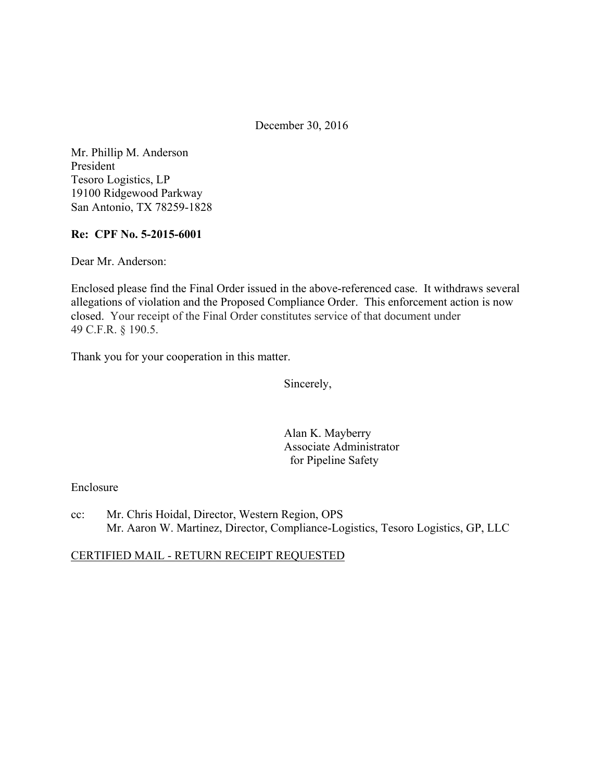December 30, 2016

Mr. Phillip M. Anderson President Tesoro Logistics, LP 19100 Ridgewood Parkway San Antonio, TX 78259-1828

### **Re: CPF No. 5-2015-6001**

Dear Mr. Anderson:

Enclosed please find the Final Order issued in the above-referenced case. It withdraws several allegations of violation and the Proposed Compliance Order. This enforcement action is now closed. Your receipt of the Final Order constitutes service of that document under 49 C.F.R. § 190.5.

Thank you for your cooperation in this matter.

Sincerely,

Alan K. Mayberry Associate Administrator for Pipeline Safety

### Enclosure

cc: Mr. Chris Hoidal, Director, Western Region, OPS Mr. Aaron W. Martinez, Director, Compliance-Logistics, Tesoro Logistics, GP, LLC

CERTIFIED MAIL - RETURN RECEIPT REQUESTED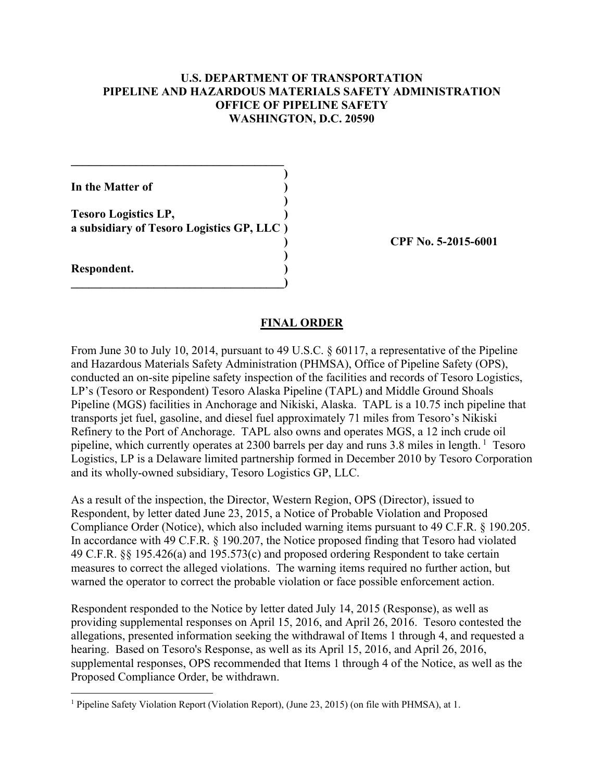### **U.S. DEPARTMENT OF TRANSPORTATION PIPELINE AND HAZARDOUS MATERIALS SAFETY ADMINISTRATION OFFICE OF PIPELINE SAFETY WASHINGTON, D.C. 20590**

| In the Matter of                                                         |  |
|--------------------------------------------------------------------------|--|
| <b>Tesoro Logistics LP,</b><br>a subsidiary of Tesoro Logistics GP, LLC) |  |
| Respondent.                                                              |  |

 $\mathcal{L}=\{1,2,3,4,5\}$ 

**) CPF No. 5-2015-6001** 

#### **FINAL ORDER**

From June 30 to July 10, 2014, pursuant to 49 U.S.C. § 60117, a representative of the Pipeline and Hazardous Materials Safety Administration (PHMSA), Office of Pipeline Safety (OPS), conducted an on-site pipeline safety inspection of the facilities and records of Tesoro Logistics, LP's (Tesoro or Respondent) Tesoro Alaska Pipeline (TAPL) and Middle Ground Shoals Pipeline (MGS) facilities in Anchorage and Nikiski, Alaska. TAPL is a 10.75 inch pipeline that transports jet fuel, gasoline, and diesel fuel approximately 71 miles from Tesoro's Nikiski Refinery to the Port of Anchorage. TAPL also owns and operates MGS, a 12 inch crude oil pipeline, which currently operates at 2300 barrels per day and runs 3.8 miles in length.  $\frac{1}{1}$  Tesoro Logistics, LP is a Delaware limited partnership formed in December 2010 by Tesoro Corporation and its wholly-owned subsidiary, Tesoro Logistics GP, LLC.

As a result of the inspection, the Director, Western Region, OPS (Director), issued to Respondent, by letter dated June 23, 2015, a Notice of Probable Violation and Proposed Compliance Order (Notice), which also included warning items pursuant to 49 C.F.R. § 190.205. In accordance with 49 C.F.R. § 190.207, the Notice proposed finding that Tesoro had violated 49 C.F.R. §§ 195.426(a) and 195.573(c) and proposed ordering Respondent to take certain measures to correct the alleged violations. The warning items required no further action, but warned the operator to correct the probable violation or face possible enforcement action.

Respondent responded to the Notice by letter dated July 14, 2015 (Response), as well as providing supplemental responses on April 15, 2016, and April 26, 2016. Tesoro contested the allegations, presented information seeking the withdrawal of Items 1 through 4, and requested a hearing. Based on Tesoro's Response, as well as its April 15, 2016, and April 26, 2016, supplemental responses, OPS recommended that Items 1 through 4 of the Notice, as well as the Proposed Compliance Order, be withdrawn.

<u>.</u>

<sup>&</sup>lt;sup>1</sup> Pipeline Safety Violation Report (Violation Report), (June 23, 2015) (on file with PHMSA), at 1.